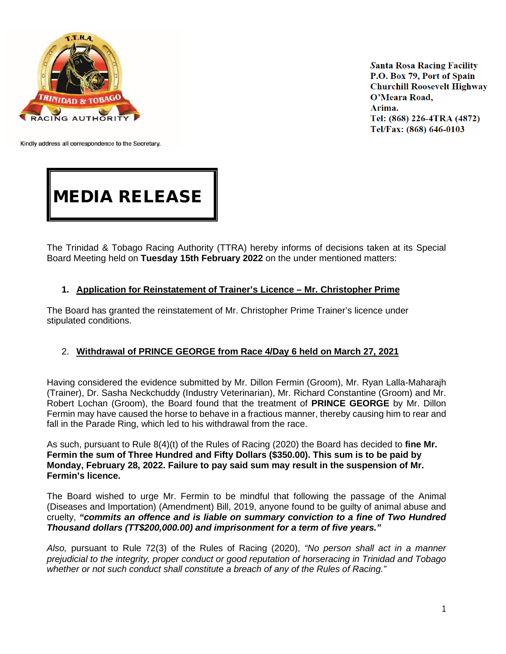

**Santa Rosa Racing Facility** P.O. Box 79, Port of Spain **Churchill Roosevelt Highway** O'Meara Road, Arima. Tel: (868) 226-4TRA (4872) Tel/Fax: (868) 646-0103

Kindly address all correspondence to the Secretary.

# MEDIA RELEASE

The Trinidad & Tobago Racing Authority (TTRA) hereby informs of decisions taken at its Special Board Meeting held on **Tuesday 15th February 2022** on the under mentioned matters:

### **1. Application for Reinstatement of Trainer's Licence – Mr. Christopher Prime**

The Board has granted the reinstatement of Mr. Christopher Prime Trainer's licence under stipulated conditions.

### 2. **Withdrawal of PRINCE GEORGE from Race 4/Day 6 held on March 27, 2021**

Having considered the evidence submitted by Mr. Dillon Fermin (Groom), Mr. Ryan Lalla-Maharajh (Trainer), Dr. Sasha Neckchuddy (Industry Veterinarian), Mr. Richard Constantine (Groom) and Mr. Robert Lochan (Groom), the Board found that the treatment of **PRINCE GEORGE** by Mr. Dillon Fermin may have caused the horse to behave in a fractious manner, thereby causing him to rear and fall in the Parade Ring, which led to his withdrawal from the race.

As such, pursuant to Rule 8(4)(t) of the Rules of Racing (2020) the Board has decided to **fine Mr. Fermin the sum of Three Hundred and Fifty Dollars (\$350.00). This sum is to be paid by Monday, February 28, 2022. Failure to pay said sum may result in the suspension of Mr. Fermin's licence.**

The Board wished to urge Mr. Fermin to be mindful that following the passage of the Animal (Diseases and Importation) (Amendment) Bill, 2019, anyone found to be guilty of animal abuse and cruelty, *"commits an offence and is liable on summary conviction to a fine of Two Hundred Thousand dollars (TT\$200,000.00) and imprisonment for a term of five years."* 

*Also,* pursuant to Rule 72(3) of the Rules of Racing (2020), *"No person shall act in a manner prejudicial to the integrity, proper conduct or good reputation of horseracing in Trinidad and Tobago whether or not such conduct shall constitute a breach of any of the Rules of Racing."*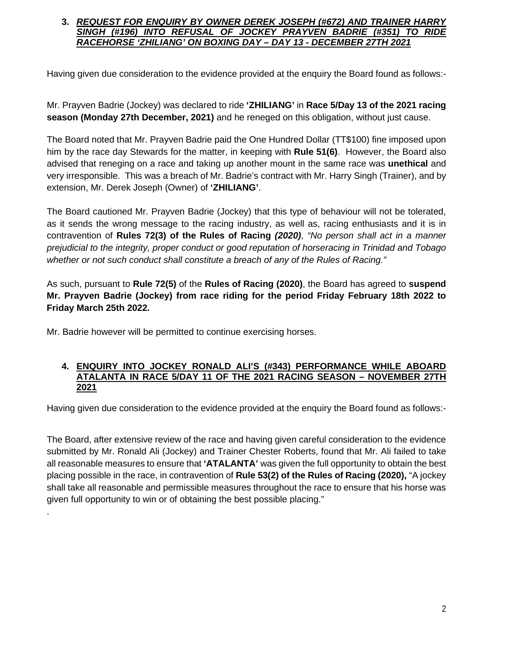## **3.** *REQUEST FOR ENQUIRY BY OWNER DEREK JOSEPH (#672) AND TRAINER HARRY SINGH (#196) INTO REFUSAL OF JOCKEY PRAYVEN BADRIE (#351) TO RIDE RACEHORSE 'ZHILIANG' ON BOXING DAY – DAY 13 - DECEMBER 27TH 2021*

Having given due consideration to the evidence provided at the enquiry the Board found as follows:-

Mr. Prayven Badrie (Jockey) was declared to ride **'ZHILIANG'** in **Race 5/Day 13 of the 2021 racing season (Monday 27th December, 2021)** and he reneged on this obligation, without just cause.

The Board noted that Mr. Prayven Badrie paid the One Hundred Dollar (TT\$100) fine imposed upon him by the race day Stewards for the matter, in keeping with **Rule 51(6)**. However, the Board also advised that reneging on a race and taking up another mount in the same race was **unethical** and very irresponsible. This was a breach of Mr. Badrie's contract with Mr. Harry Singh (Trainer), and by extension, Mr. Derek Joseph (Owner) of **'ZHILIANG'**.

The Board cautioned Mr. Prayven Badrie (Jockey) that this type of behaviour will not be tolerated, as it sends the wrong message to the racing industry, as well as, racing enthusiasts and it is in contravention of **Rules 72(3) of the Rules of Racing** *(2020)*, *"No person shall act in a manner prejudicial to the integrity, proper conduct or good reputation of horseracing in Trinidad and Tobago whether or not such conduct shall constitute a breach of any of the Rules of Racing."*

As such, pursuant to **Rule 72(5)** of the **Rules of Racing (2020)**, the Board has agreed to **suspend Mr. Prayven Badrie (Jockey) from race riding for the period Friday February 18th 2022 to Friday March 25th 2022.**

Mr. Badrie however will be permitted to continue exercising horses.

.

#### **4. ENQUIRY INTO JOCKEY RONALD ALI'S (#343) PERFORMANCE WHILE ABOARD ATALANTA IN RACE 5/DAY 11 OF THE 2021 RACING SEASON – NOVEMBER 27TH 2021**

Having given due consideration to the evidence provided at the enquiry the Board found as follows:-

The Board, after extensive review of the race and having given careful consideration to the evidence submitted by Mr. Ronald Ali (Jockey) and Trainer Chester Roberts, found that Mr. Ali failed to take all reasonable measures to ensure that **'ATALANTA'** was given the full opportunity to obtain the best placing possible in the race, in contravention of **Rule 53(2) of the Rules of Racing (2020),** "A jockey shall take all reasonable and permissible measures throughout the race to ensure that his horse was given full opportunity to win or of obtaining the best possible placing."